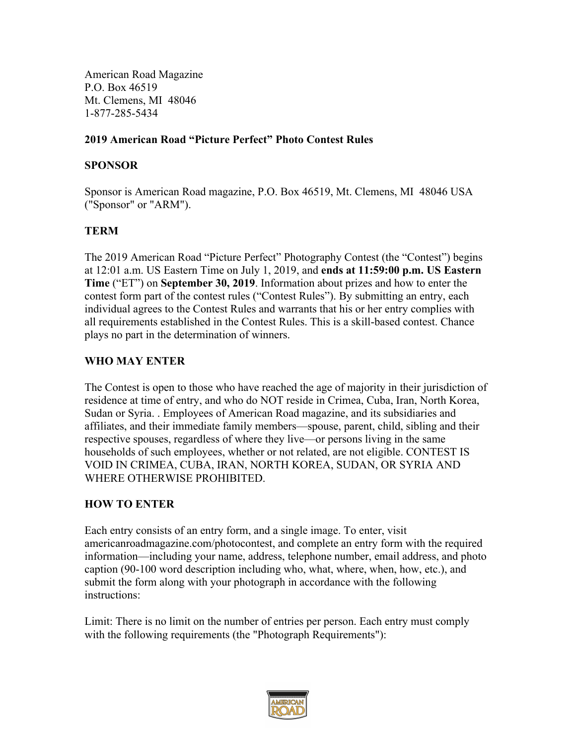American Road Magazine P.O. Box 46519 Mt. Clemens, MI 48046 1-877-285-5434

#### **2019 American Road "Picture Perfect" Photo Contest Rules**

#### **SPONSOR**

Sponsor is American Road magazine, P.O. Box 46519, Mt. Clemens, MI 48046 USA ("Sponsor" or "ARM").

### **TERM**

The 2019 American Road "Picture Perfect" Photography Contest (the "Contest") begins at 12:01 a.m. US Eastern Time on July 1, 2019, and **ends at 11:59:00 p.m. US Eastern Time** ("ET") on **September 30, 2019**. Information about prizes and how to enter the contest form part of the contest rules ("Contest Rules"). By submitting an entry, each individual agrees to the Contest Rules and warrants that his or her entry complies with all requirements established in the Contest Rules. This is a skill-based contest. Chance plays no part in the determination of winners.

### **WHO MAY ENTER**

The Contest is open to those who have reached the age of majority in their jurisdiction of residence at time of entry, and who do NOT reside in Crimea, Cuba, Iran, North Korea, Sudan or Syria. . Employees of American Road magazine, and its subsidiaries and affiliates, and their immediate family members—spouse, parent, child, sibling and their respective spouses, regardless of where they live—or persons living in the same households of such employees, whether or not related, are not eligible. CONTEST IS VOID IN CRIMEA, CUBA, IRAN, NORTH KOREA, SUDAN, OR SYRIA AND WHERE OTHERWISE PROHIBITED.

### **HOW TO ENTER**

Each entry consists of an entry form, and a single image. To enter, visit americanroadmagazine.com/photocontest, and complete an entry form with the required information—including your name, address, telephone number, email address, and photo caption (90-100 word description including who, what, where, when, how, etc.), and submit the form along with your photograph in accordance with the following instructions:

Limit: There is no limit on the number of entries per person. Each entry must comply with the following requirements (the "Photograph Requirements"):

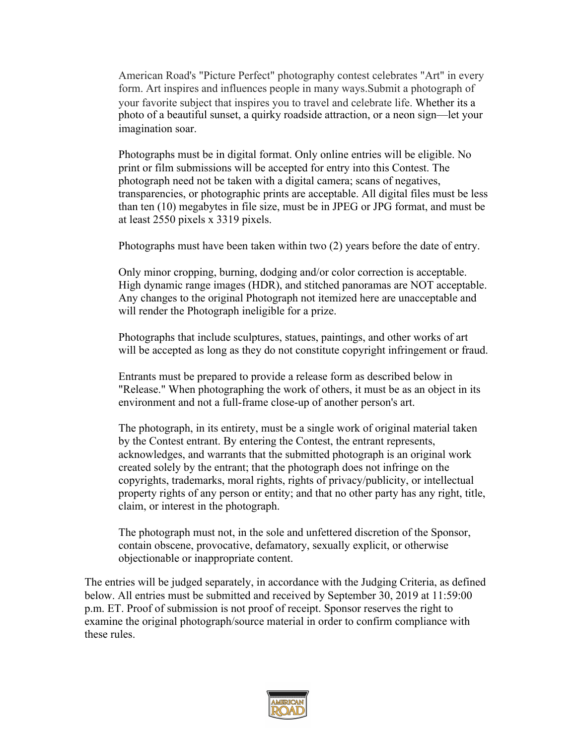American Road's "Picture Perfect" photography contest celebrates "Art" in every form. Art inspires and influences people in many ways.Submit a photograph of your favorite subject that inspires you to travel and celebrate life. Whether its a photo of a beautiful sunset, a quirky roadside attraction, or a neon sign—let your imagination soar.

Photographs must be in digital format. Only online entries will be eligible. No print or film submissions will be accepted for entry into this Contest. The photograph need not be taken with a digital camera; scans of negatives, transparencies, or photographic prints are acceptable. All digital files must be less than ten (10) megabytes in file size, must be in JPEG or JPG format, and must be at least 2550 pixels x 3319 pixels.

Photographs must have been taken within two (2) years before the date of entry.

Only minor cropping, burning, dodging and/or color correction is acceptable. High dynamic range images (HDR), and stitched panoramas are NOT acceptable. Any changes to the original Photograph not itemized here are unacceptable and will render the Photograph ineligible for a prize.

Photographs that include sculptures, statues, paintings, and other works of art will be accepted as long as they do not constitute copyright infringement or fraud.

Entrants must be prepared to provide a release form as described below in "Release." When photographing the work of others, it must be as an object in its environment and not a full-frame close-up of another person's art.

The photograph, in its entirety, must be a single work of original material taken by the Contest entrant. By entering the Contest, the entrant represents, acknowledges, and warrants that the submitted photograph is an original work created solely by the entrant; that the photograph does not infringe on the copyrights, trademarks, moral rights, rights of privacy/publicity, or intellectual property rights of any person or entity; and that no other party has any right, title, claim, or interest in the photograph.

The photograph must not, in the sole and unfettered discretion of the Sponsor, contain obscene, provocative, defamatory, sexually explicit, or otherwise objectionable or inappropriate content.

The entries will be judged separately, in accordance with the Judging Criteria, as defined below. All entries must be submitted and received by September 30, 2019 at 11:59:00 p.m. ET. Proof of submission is not proof of receipt. Sponsor reserves the right to examine the original photograph/source material in order to confirm compliance with these rules.

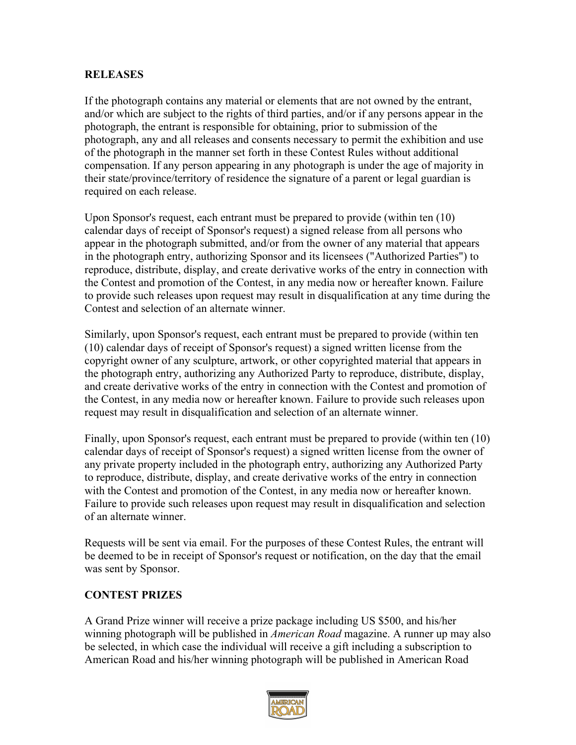#### **RELEASES**

If the photograph contains any material or elements that are not owned by the entrant, and/or which are subject to the rights of third parties, and/or if any persons appear in the photograph, the entrant is responsible for obtaining, prior to submission of the photograph, any and all releases and consents necessary to permit the exhibition and use of the photograph in the manner set forth in these Contest Rules without additional compensation. If any person appearing in any photograph is under the age of majority in their state/province/territory of residence the signature of a parent or legal guardian is required on each release.

Upon Sponsor's request, each entrant must be prepared to provide (within ten (10) calendar days of receipt of Sponsor's request) a signed release from all persons who appear in the photograph submitted, and/or from the owner of any material that appears in the photograph entry, authorizing Sponsor and its licensees ("Authorized Parties") to reproduce, distribute, display, and create derivative works of the entry in connection with the Contest and promotion of the Contest, in any media now or hereafter known. Failure to provide such releases upon request may result in disqualification at any time during the Contest and selection of an alternate winner.

Similarly, upon Sponsor's request, each entrant must be prepared to provide (within ten (10) calendar days of receipt of Sponsor's request) a signed written license from the copyright owner of any sculpture, artwork, or other copyrighted material that appears in the photograph entry, authorizing any Authorized Party to reproduce, distribute, display, and create derivative works of the entry in connection with the Contest and promotion of the Contest, in any media now or hereafter known. Failure to provide such releases upon request may result in disqualification and selection of an alternate winner.

Finally, upon Sponsor's request, each entrant must be prepared to provide (within ten (10) calendar days of receipt of Sponsor's request) a signed written license from the owner of any private property included in the photograph entry, authorizing any Authorized Party to reproduce, distribute, display, and create derivative works of the entry in connection with the Contest and promotion of the Contest, in any media now or hereafter known. Failure to provide such releases upon request may result in disqualification and selection of an alternate winner.

Requests will be sent via email. For the purposes of these Contest Rules, the entrant will be deemed to be in receipt of Sponsor's request or notification, on the day that the email was sent by Sponsor.

### **CONTEST PRIZES**

A Grand Prize winner will receive a prize package including US \$500, and his/her winning photograph will be published in *American Road* magazine. A runner up may also be selected, in which case the individual will receive a gift including a subscription to American Road and his/her winning photograph will be published in American Road

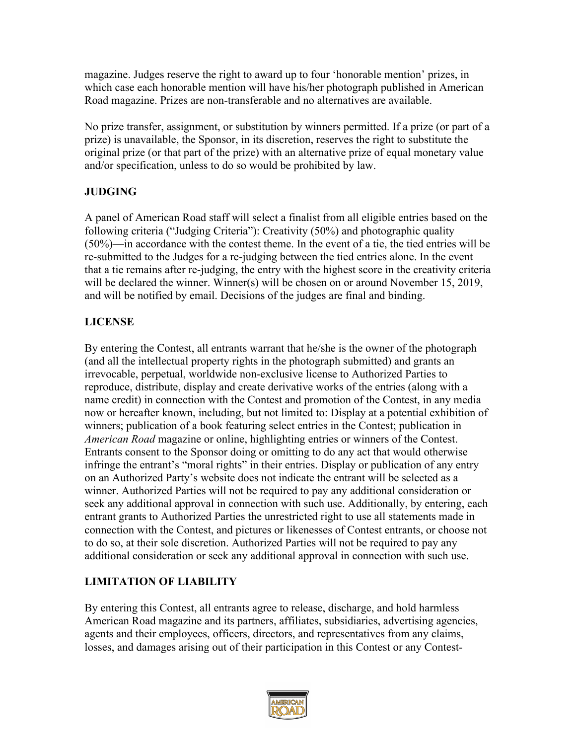magazine. Judges reserve the right to award up to four 'honorable mention' prizes, in which case each honorable mention will have his/her photograph published in American Road magazine. Prizes are non-transferable and no alternatives are available.

No prize transfer, assignment, or substitution by winners permitted. If a prize (or part of a prize) is unavailable, the Sponsor, in its discretion, reserves the right to substitute the original prize (or that part of the prize) with an alternative prize of equal monetary value and/or specification, unless to do so would be prohibited by law.

# **JUDGING**

A panel of American Road staff will select a finalist from all eligible entries based on the following criteria ("Judging Criteria"): Creativity (50%) and photographic quality (50%)—in accordance with the contest theme. In the event of a tie, the tied entries will be re-submitted to the Judges for a re-judging between the tied entries alone. In the event that a tie remains after re-judging, the entry with the highest score in the creativity criteria will be declared the winner. Winner(s) will be chosen on or around November 15, 2019, and will be notified by email. Decisions of the judges are final and binding.

## **LICENSE**

By entering the Contest, all entrants warrant that he/she is the owner of the photograph (and all the intellectual property rights in the photograph submitted) and grants an irrevocable, perpetual, worldwide non-exclusive license to Authorized Parties to reproduce, distribute, display and create derivative works of the entries (along with a name credit) in connection with the Contest and promotion of the Contest, in any media now or hereafter known, including, but not limited to: Display at a potential exhibition of winners; publication of a book featuring select entries in the Contest; publication in *American Road* magazine or online, highlighting entries or winners of the Contest. Entrants consent to the Sponsor doing or omitting to do any act that would otherwise infringe the entrant's "moral rights" in their entries. Display or publication of any entry on an Authorized Party's website does not indicate the entrant will be selected as a winner. Authorized Parties will not be required to pay any additional consideration or seek any additional approval in connection with such use. Additionally, by entering, each entrant grants to Authorized Parties the unrestricted right to use all statements made in connection with the Contest, and pictures or likenesses of Contest entrants, or choose not to do so, at their sole discretion. Authorized Parties will not be required to pay any additional consideration or seek any additional approval in connection with such use.

# **LIMITATION OF LIABILITY**

By entering this Contest, all entrants agree to release, discharge, and hold harmless American Road magazine and its partners, affiliates, subsidiaries, advertising agencies, agents and their employees, officers, directors, and representatives from any claims, losses, and damages arising out of their participation in this Contest or any Contest-

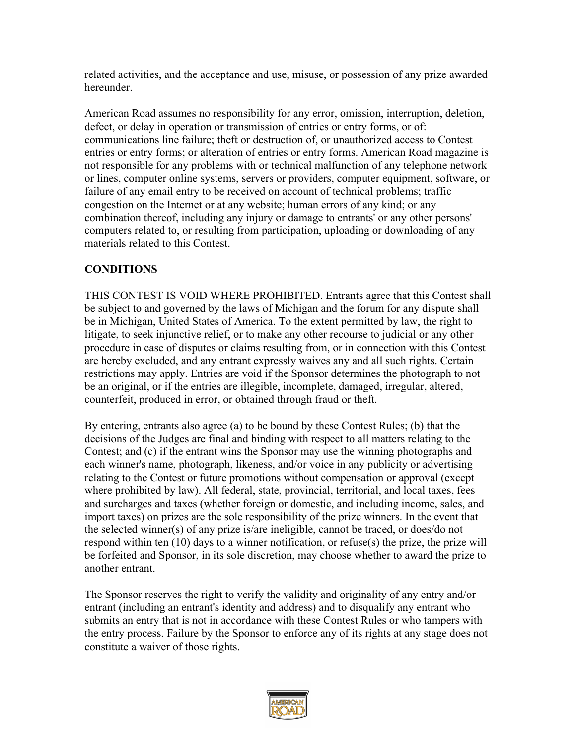related activities, and the acceptance and use, misuse, or possession of any prize awarded hereunder.

American Road assumes no responsibility for any error, omission, interruption, deletion, defect, or delay in operation or transmission of entries or entry forms, or of: communications line failure; theft or destruction of, or unauthorized access to Contest entries or entry forms; or alteration of entries or entry forms. American Road magazine is not responsible for any problems with or technical malfunction of any telephone network or lines, computer online systems, servers or providers, computer equipment, software, or failure of any email entry to be received on account of technical problems; traffic congestion on the Internet or at any website; human errors of any kind; or any combination thereof, including any injury or damage to entrants' or any other persons' computers related to, or resulting from participation, uploading or downloading of any materials related to this Contest.

### **CONDITIONS**

THIS CONTEST IS VOID WHERE PROHIBITED. Entrants agree that this Contest shall be subject to and governed by the laws of Michigan and the forum for any dispute shall be in Michigan, United States of America. To the extent permitted by law, the right to litigate, to seek injunctive relief, or to make any other recourse to judicial or any other procedure in case of disputes or claims resulting from, or in connection with this Contest are hereby excluded, and any entrant expressly waives any and all such rights. Certain restrictions may apply. Entries are void if the Sponsor determines the photograph to not be an original, or if the entries are illegible, incomplete, damaged, irregular, altered, counterfeit, produced in error, or obtained through fraud or theft.

By entering, entrants also agree (a) to be bound by these Contest Rules; (b) that the decisions of the Judges are final and binding with respect to all matters relating to the Contest; and (c) if the entrant wins the Sponsor may use the winning photographs and each winner's name, photograph, likeness, and/or voice in any publicity or advertising relating to the Contest or future promotions without compensation or approval (except where prohibited by law). All federal, state, provincial, territorial, and local taxes, fees and surcharges and taxes (whether foreign or domestic, and including income, sales, and import taxes) on prizes are the sole responsibility of the prize winners. In the event that the selected winner(s) of any prize is/are ineligible, cannot be traced, or does/do not respond within ten (10) days to a winner notification, or refuse(s) the prize, the prize will be forfeited and Sponsor, in its sole discretion, may choose whether to award the prize to another entrant.

The Sponsor reserves the right to verify the validity and originality of any entry and/or entrant (including an entrant's identity and address) and to disqualify any entrant who submits an entry that is not in accordance with these Contest Rules or who tampers with the entry process. Failure by the Sponsor to enforce any of its rights at any stage does not constitute a waiver of those rights.